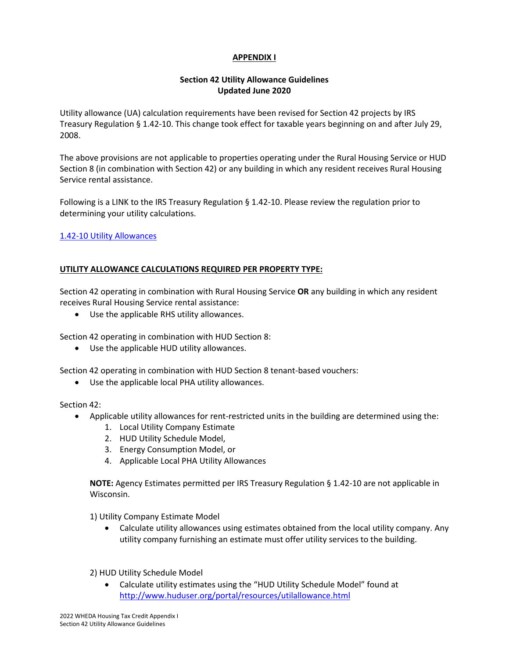# **APPENDIX I**

# **Section 42 Utility Allowance Guidelines Updated June 2020**

Utility allowance (UA) calculation requirements have been revised for Section 42 projects by IRS Treasury Regulation § 1.42-10. This change took effect for taxable years beginning on and after July 29, 2008.

The above provisions are not applicable to properties operating under the Rural Housing Service or HUD Section 8 (in combination with Section 42) or any building in which any resident receives Rural Housing Service rental assistance.

Following is a LINK to the IRS Treasury Regulation § 1.42-10. Please review the regulation prior to determining your utility calculations.

# [1.42-10 Utility Allowances](https://www.law.cornell.edu/cfr/text/26/1.42-10)

# **UTILITY ALLOWANCE CALCULATIONS REQUIRED PER PROPERTY TYPE:**

Section 42 operating in combination with Rural Housing Service **OR** any building in which any resident receives Rural Housing Service rental assistance:

• Use the applicable RHS utility allowances.

Section 42 operating in combination with HUD Section 8:

• Use the applicable HUD utility allowances.

Section 42 operating in combination with HUD Section 8 tenant-based vouchers:

• Use the applicable local PHA utility allowances.

Section 42:

- Applicable utility allowances for rent-restricted units in the building are determined using the:
	- 1. Local Utility Company Estimate
	- 2. HUD Utility Schedule Model,
	- 3. Energy Consumption Model, or
	- 4. Applicable Local PHA Utility Allowances

**NOTE:** Agency Estimates permitted per IRS Treasury Regulation § 1.42-10 are not applicable in Wisconsin.

1) Utility Company Estimate Model

- Calculate utility allowances using estimates obtained from the local utility company. Any utility company furnishing an estimate must offer utility services to the building.
- 2) HUD Utility Schedule Model
	- Calculate utility estimates using the "HUD Utility Schedule Model" found at <http://www.huduser.org/portal/resources/utilallowance.html>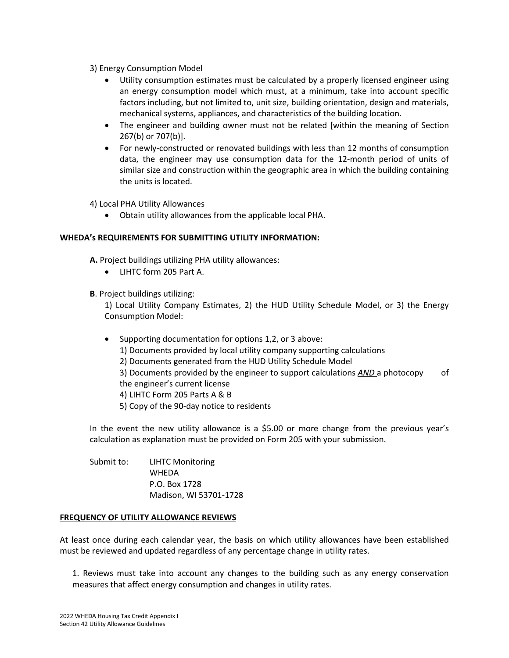## 3) Energy Consumption Model

- Utility consumption estimates must be calculated by a properly licensed engineer using an energy consumption model which must, at a minimum, take into account specific factors including, but not limited to, unit size, building orientation, design and materials, mechanical systems, appliances, and characteristics of the building location.
- The engineer and building owner must not be related [within the meaning of Section 267(b) or 707(b)].
- For newly-constructed or renovated buildings with less than 12 months of consumption data, the engineer may use consumption data for the 12-month period of units of similar size and construction within the geographic area in which the building containing the units is located.

4) Local PHA Utility Allowances

• Obtain utility allowances from the applicable local PHA.

### **WHEDA's REQUIREMENTS FOR SUBMITTING UTILITY INFORMATION:**

**A.** Project buildings utilizing PHA utility allowances:

- LIHTC form 205 Part A.
- **B**. Project buildings utilizing:

1) Local Utility Company Estimates, 2) the HUD Utility Schedule Model, or 3) the Energy Consumption Model:

• Supporting documentation for options 1,2, or 3 above: 1) Documents provided by local utility company supporting calculations 2) Documents generated from the HUD Utility Schedule Model 3) Documents provided by the engineer to support calculations *AND* a photocopy of the engineer's current license 4) LIHTC Form 205 Parts A & B 5) Copy of the 90-day notice to residents

In the event the new utility allowance is a \$5.00 or more change from the previous year's calculation as explanation must be provided on Form 205 with your submission.

Submit to: LIHTC Monitoring WHEDA P.O. Box 1728 Madison, WI 53701-1728

#### **FREQUENCY OF UTILITY ALLOWANCE REVIEWS**

At least once during each calendar year, the basis on which utility allowances have been established must be reviewed and updated regardless of any percentage change in utility rates.

1. Reviews must take into account any changes to the building such as any energy conservation measures that affect energy consumption and changes in utility rates.